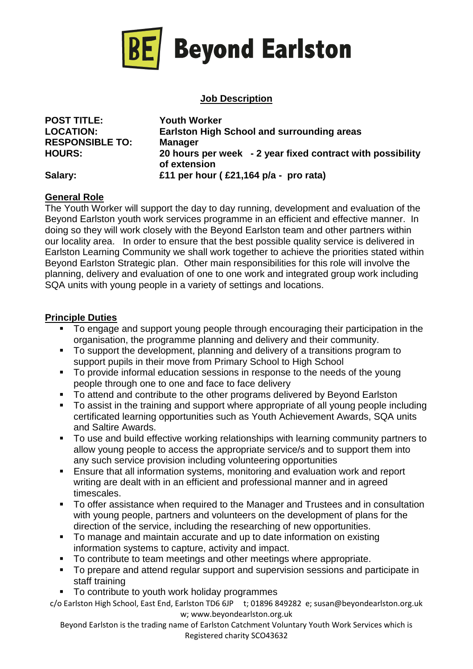

# **Job Description**

**POST TITLE: Youth Worker RESPONSIBLE TO: Manager** 

**LOCATION: Earlston High School and surrounding areas HOURS: 20 hours per week - 2 year fixed contract with possibility of extension Salary: £11 per hour ( £21,164 p/a - pro rata)**

#### **General Role**

The Youth Worker will support the day to day running, development and evaluation of the Beyond Earlston youth work services programme in an efficient and effective manner. In doing so they will work closely with the Beyond Earlston team and other partners within our locality area. In order to ensure that the best possible quality service is delivered in Earlston Learning Community we shall work together to achieve the priorities stated within Beyond Earlston Strategic plan. Other main responsibilities for this role will involve the planning, delivery and evaluation of one to one work and integrated group work including SQA units with young people in a variety of settings and locations.

## **Principle Duties**

- To engage and support young people through encouraging their participation in the organisation, the programme planning and delivery and their community.
- To support the development, planning and delivery of a transitions program to support pupils in their move from Primary School to High School
- To provide informal education sessions in response to the needs of the young people through one to one and face to face delivery
- To attend and contribute to the other programs delivered by Beyond Earlston<br>■ To assist in the training and support where appropriate of all young people ing
- To assist in the training and support where appropriate of all young people including certificated learning opportunities such as Youth Achievement Awards, SQA units and Saltire Awards.
- To use and build effective working relationships with learning community partners to allow young people to access the appropriate service/s and to support them into any such service provision including volunteering opportunities
- **Ensure that all information systems, monitoring and evaluation work and report** writing are dealt with in an efficient and professional manner and in agreed timescales.
- To offer assistance when required to the Manager and Trustees and in consultation with young people, partners and volunteers on the development of plans for the direction of the service, including the researching of new opportunities.
- To manage and maintain accurate and up to date information on existing information systems to capture, activity and impact.
- To contribute to team meetings and other meetings where appropriate.
- To prepare and attend regular support and supervision sessions and participate in staff training
- To contribute to youth work holiday programmes

c/o Earlston High School, East End, Earlston TD6 6JP t; 01896 849282 e; susan@beyondearlston.org.uk w; www.beyondearlston.org.uk

Beyond Earlston is the trading name of Earlston Catchment Voluntary Youth Work Services which is Registered charity SCO43632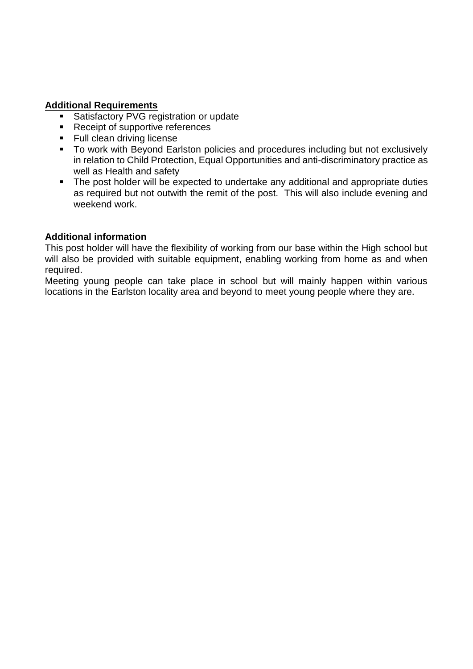#### **Additional Requirements**

- **Satisfactory PVG registration or update**
- Receipt of supportive references
- **Full clean driving license**
- To work with Beyond Earlston policies and procedures including but not exclusively in relation to Child Protection, Equal Opportunities and anti-discriminatory practice as well as Health and safety
- The post holder will be expected to undertake any additional and appropriate duties as required but not outwith the remit of the post. This will also include evening and weekend work.

## **Additional information**

This post holder will have the flexibility of working from our base within the High school but will also be provided with suitable equipment, enabling working from home as and when required.

Meeting young people can take place in school but will mainly happen within various locations in the Earlston locality area and beyond to meet young people where they are.